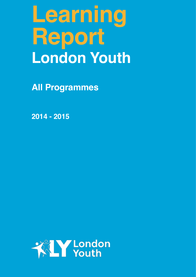# **Learning Report London Youth**

**All Programmes** 

**2014 - 2015**

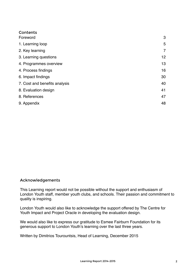| Contents                      |    |
|-------------------------------|----|
| Foreword                      | 3  |
| 1. Learning loop              | 5  |
| 2. Key learning               | 7  |
| 3. Learning questions         | 12 |
| 4. Programmes overview        | 13 |
| 4. Process findings           | 16 |
| 6. Impact findings            | 30 |
| 7. Cost and benefits analysis | 40 |
| 8. Evaluation design          | 41 |
| 8. References                 | 47 |
| 9. Appendix                   | 48 |

## Acknowledgements

This Learning report would not be possible without the support and enthusiasm of London Youth staff, member youth clubs, and schools. Their passion and commitment to quality is inspiring.

London Youth would also like to acknowledge the support offered by The Centre for Youth Impact and Project Oracle in developing the evaluation design.

We would also like to express our gratitude to Esmee Fairburn Foundation for its generous support to London Youth's learning over the last three years.

Written by Dimitrios Tourountsis, Head of Learning, December 2015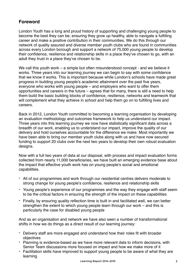# **Foreword**

London Youth has a long and proud history of supporting and challenging young people to become the best they can be; ensuring they grow up healthy, able to navigate a fulfilling career and make a positive contribution in their communities. We do this through our network of quality assured and diverse member youth clubs who are found in communities across every London borough and support a network of 75,000 young people to develop their confidence, resilience and relationship skills in a place they've chosen to go, with an adult they trust in a place they've chosen to be.

We call this youth work – a simple but often misunderstood concept - and we believe it works. Three years into our learning journey we can begin to say with some confidence that we know it works. This is important because while London's schools have made great progress in building young people's academic attainment over the past five years, everyone who works with young people – and employers who want to offer them opportunities and careers in the future – agrees that for many, there is still a need to help them build the basic building blocks of confidence, resilience, networks and teamwork that will complement what they achieve in school and help them go on to fulfilling lives and careers.

Back in 2012, London Youth committed to becoming a learning organisation by developing an evaluation methodology and outcomes framework to help us understand our impact. Three years into this learning journey we now have statistically significant data across a breadth of our work, enabling us to understand our impact, improve the quality of our delivery and hold ourselves accountable for the difference we make. Most importantly we have been able to bring our member youth clubs along with us and have now secured funding to support 20 clubs over the next two years to develop their own robust evaluation designs.

Now with a full two years of data at our disposal, with process and impact evaluation forms collected from nearly 11,000 beneficiaries, we have built an emerging evidence base about the impact that effective youth work has on young people's social and emotional capabilities.

- All of our programmes and work through our residential centres delivers moderate to strong change for young people's confidence, resilience and relationship skills
- Young people's experience of our programmes and the way they engage with staff seem to be the critical factors in ensuring the strength of the impact on these capabilities
- Finally, by ensuring quality reflection time is built in and facilitated well, we can better strengthen the extent to which young people learn through our work – and this is particularly the case for disabled young people

And as an organisation and network we have also seen a number of transformational shifts in how we do things as a direct result of our learning journey:

- Delivery staff are more engaged and understand how their roles fit with broader objectives
- Planning is evidence-based as we have more relevant data to inform decisions, with Senior Team discussions more focused on impact and how we make more of it
- Facilitation skills have improved to support young people to be aware of what they are learning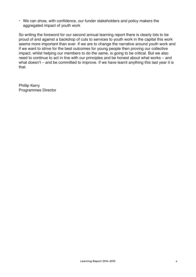- We can show, with confidence, our funder stakeholders and policy makers the aggregated impact of youth work

So writing the foreword for our second annual learning report there is clearly lots to be proud of and against a backdrop of cuts to services to youth work in the capital this work seems more important than ever. If we are to change the narrative around youth work and if we want to strive for the best outcomes for young people then proving our collective impact, whilst helping our members to do the same, is going to be critical. But we also need to continue to act in line with our principles and be honest about what works – and what doesn't – and be committed to improve. If we have learnt anything this last year it is that.

Phillip Kerry Programmes Director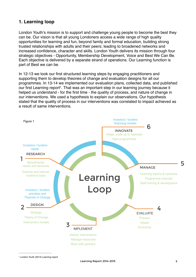# **1. Learning loop**

London Youth's mission is to support and challenge young people to become the best they can be. Our vision is that all young Londoners access a wide range of high quality opportunities for learning and fun, beyond family and formal education, building strong trusted relationships with adults and their peers; leading to broadened networks and increased confidence, character and skills. London Youth delivers its mission through four strategic objectives - Opportunity, Membership Development, Voice and Best We Can Be. Each objective is delivered by a separate strand of operations. Our Learning function is part of Best we can be.

<span id="page-4-1"></span>In 12-13 we took our first structured learning steps by engaging practitioners and supporting them to develop theories of change and evaluation designs for all our programmes. In 13-14 we implemented our evaluation plans, collected data, and published our first Learning report<sup>[1](#page-4-0)</sup>. That was an important step in our learning journey because it helped us understand - for the first time - the quality of process, and nature of change in our interventions. We used a hypothesis to explain our observations. Our hypothesis stated that the quality of process in our interventions was correlated to impact achieved as a result of same interventions.

<span id="page-4-0"></span>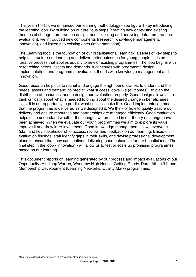This year (14-15), we enhanced our learning methodology - see figure 1 - by introducing the learning loop. By building on our previous steps (creating new or revising existing theories of change - programme design, and collecting and analysing data - programme evaluation), we introduced new components (research, knowledge management, innovation), and linked it to existing ones (implementation).

<span id="page-5-1"></span>The Learning loop is the foundation of our organisational learning<sup>[2](#page-5-0)</sup>; a series of key steps to help us structure our learning and deliver better outcomes for young people. It is an iterative process that applies equally to new or existing programmes. The loop begins with researching needs, assets and demands. It continues with programme design, implementation, and programme evaluation. It ends with knowledge management and innovation.

Good research helps us to recruit and engage the right beneficiaries, to understand their needs, assets and demand, to predict what success looks like (outcomes), to plan the distribution of resources, and to design our evaluation properly. Good design allows us to think critically about what is needed to bring about the desired change in beneficiaries' lives. It is our opportunity to predict what success looks like. Good implementation means that the programme is delivered as we designed it. We think of how to quality assure our delivery and ensure resources and partnerships are managed efficiently. Good evaluation helps us to understand whether the changes we predicted in our theory of change have been achieved. When we evaluate our youth programmes we aim to explore its value, improve it and draw in re-investment. Good knowledge management allows everyone (staff and key stakeholders) to access, review and feedback on our learning. Based on evaluation findings, staff identify gaps in their skills, and devise professional development plans to ensure that they can continue delivering good outcomes for our beneficiaries. The final step in the loop - innovation - will allow us to test or scale up promising programmes based on our learning.

This document reports on learning generated by our process and impact evaluations of our Opportunity (Hindleap Warren, Woodrow High House, Getting Ready, Dare, Athan 31) and Membership Development (Learning Networks, Quality Mark) programmes.

<span id="page-5-0"></span><sup>&</sup>lt;sup>[2](#page-5-1)</sup> Our Learning loop builds on Argyris (1977) concept of 'double loop learning'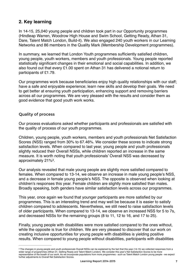# **2. Key learning**

In 14-15, 25,040 young people and children took part in our Opportunity programmes (Hindleap Warren, Woodrow High House and Swim School, Getting Ready, Athan 31, Dare, Talent Match London, Build-it). We also engaged 240 youth workers in our Learning Networks and 86 members in the Quality Mark (Membership Development programmes).

In summary, we learned that London Youth programmes sufficiently satisfied children, young people, youth workers, members and youth professionals. Young people reported statistically significant changes in their emotional and social capabilities. In addition, we also found out that every £1.00 spent on Athan 31 has delivered a notional return to participants of £1.79.

Our programmes work because beneficiaries enjoy high quality relationships with our staff; have a safe and enjoyable experience; learn new skills and develop their goals. We need to get better at ensuring youth participation, enhancing support and removing barriers across all our programmes. We are very pleased with the results and consider them as good evidence that good youth work works.

#### Quality of process

Our process evaluations asked whether participants and professionals are satisfied with the quality of process of our youth programmes.

Children, young people, youth workers, members and youth professionals Net Satisfaction Scores (NSS) ranged from 30% to 67.46%. We consider these scores to indicate strong satisfaction levels. When compared to last year, young people and youth professionals slightly reduced their Overall NSSs, while children reported an increase in the same measure. It is worth noting that youth professionals' Overall NSS was decreased by approximately  $21\%$ <sup>[3](#page-6-0)</sup>.

<span id="page-6-1"></span>Our analysis revealed that male young people are slightly more satisfied compared to females. When compared to 13-14, we observe an increase in male young people's NSS, and a decrease in female young people's NSS. The opposite is observed when looking at children's responses this year. Female children are slightly more satisfied than males. Broadly speaking, both genders have similar satisfaction levels across our programmes.

This year, once again we found that younger participants are more satisfied by our programmes. This is an interesting trend and may well be because it is easier to satisfy children compared to adolescents. Nevertheless, we still need to raise satisfaction levels of older participants. When compared to 13-14, we observe an increased NSS for 5 to 7s, and decreased NSSs for the remaining groups (8 to 11, 12 to 16, and 17 to 25).

Finally, young people with disabilities were more satisfied compared to the ones without, while the opposite is true for children. We are very pleased to discover that our work on creating inclusive opportunities for young people with disabilities is yielding positive results. When compared to young people without disabilities, participants with disabilities

<span id="page-6-0"></span><sup>&</sup>lt;sup>[3](#page-6-1)</sup> The changes in young people and youth professionals Overall NSSs can be explained by the fact that this year (14-15) we collected responses from a wider range of programmes (Athan 31, Getting Ready and Talent Match London). We consider this year's Net Satisfaction Scores to be more representative of the breath of our work. As we incorporate populations from more programmes - such as Talent Match London young people - we expect further adjustments to Overall Net Satisfaction Scores.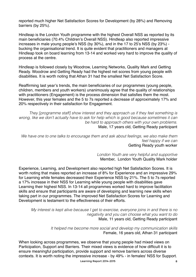reported much higher Net Satisfaction Scores for Development (by 28%) and Removing barriers (by 25%).

Hindleap is the London Youth programme with the highest Overall NSS as reported by its main beneficiaries (70.4% Children's Overall NSS). Hindleap also reported impressive increases in male young people's NSS (by 30%), and in the 17 to 25's NSS (by 23%) bucking the organisational trend. It is quite evident that practitioners and managers at Hindleap took on board learning from 13-14 and worked very hard to improve the quality of process at the centre.

Hindleap is followed closely by Woodrow, Learning Networks, Quality Mark and Getting Ready. Woodrow and Getting Ready had the highest net scores from young people with disabilities. It is worth noting that Athan 31 had the smallest Net Satisfaction Score.

Reaffirming last year's trends, the main beneficiaries of our programmes (young people, children, members and youth workers) unanimously agree that the quality of relationships with practitioners (Engagement) is the process dimension that satisfies them the most. However, this year females and the 5 to 7s reported a decrease of approximately 17% and 20% respectively in their satisfaction for Engagement.

*They [programme staff] show interest and they approach us if they feel something is wrong, like we don't actually have to ask for help which is good because sometimes it can be hard to approach others with your own problems*. Male, 17 years old, Getting Ready participant

*We have one to one talks to encourage them and ask about feelings, we also make them feel happy if we can*  Getting Ready youth worker

> *London Youth are very helpful and supportive* Member, London Youth Quality Mark holder

Experience, Learning, and Development also reported high Net Satisfaction Scores. It is worth noting that males reported an increase of 8% for Experience and an impressive 29% for Learning while females decreased their Experience NSS by 21%. The 5 to 7s reported a 17% increase in their NSS for Learning while young people with disabilities gave Learning their highest NSS. In 13-14 all programmes worked hard to improve facilitation skills and ensure that participants are aware of developing and learning new skills when taking part in our programmes. The improved Net Satisfaction Scores for Learning and Development is testament to the effectiveness of their efforts.

*My interest is kept alive because I get to exercise, everyone joins in and there is no negativity and you can choose what you want to do*  Male, 11 years old, Getting Ready participant

> *It helped me become more social and develop my communication skills* Female, 16 years old, Athan 31 participant

When looking across programmes, we observe that young people had mixed views on Participation, Support and Barriers. Their mixed views is evidence of how difficult it is to ensure meaningful participation, provide support and remove barriers across diverse contexts. It is worth noting the impressive increase - by 49% - in females' NSS for Support.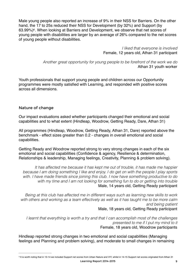<span id="page-8-1"></span>Male young people also reported an increase of 9% in their NSS for Barriers. On the other hand, the 17 to 25s reduced their NSS for Development (by 32%) and Support (by 63.99%)<sup>[4](#page-8-0)</sup>. When looking at Barriers and Development, we observe that net scores of young people with disabilities are larger by an average of 26% compared to the net scores of young people without disabilities.

> *I liked that everyone is involved* Female, 12 years old, Athan 31 participant

*Another great opportunity for young people to be forefront of the work we do*  Athan 31 youth worker

Youth professionals that support young people and children across our Opportunity programmes were mostly satisfied with Learning, and responded with positive scores across all dimensions.

## Nature of change

Our impact evaluations asked whether participants changed their emotional and social capabilities and to what extent (Hindleap, Woodrow, Getting Ready, Dare, Athan 31)

All programmes (Hindleap, Woodrow, Getting Ready, Athan 31, Dare) reported above the benchmark - effect sizes greater than 0.2 - changes in overall emotional and social capabilities.

Getting Ready and Woodrow reported strong to very strong changes in each of the six emotional and social capabilities (Confidence & agency, Resilience & determination, Relationships & leadership, Managing feelings, Creativity, Planning & problem solving).

*It has affected me because it has kept me out of trouble, it has made me happier because I am doing something I like and enjoy. I do get on with the people I play sports with. I have made friends since joining this club. I now have something productive to do with my time and I am not looking for something fun to do or getting into trouble* Male, 14 years old, Getting Ready participant

*Being at this club has affected me in different ways such as learning new skills to work with others and working as a team effectively as well as it has taught me to be more calm and being patient* Male, 18 years old, Getting Ready participant

*I learnt that everything is worth a try and that I can accomplish most of the challenges presented to me if I put my mind to it*  Female, 18 years old, Woodrow participants

<span id="page-8-0"></span>Hindleap reported strong changes in two emotional and social capabilities (Managing feelings and Planning and problem solving), and moderate to small changes in remaining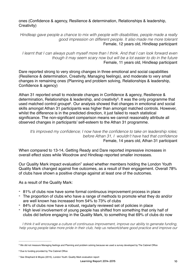ones (Confidence & agency, Resilience & determination, Relationships & leadership, Creativity)

*Hindleap gave people a chance to mix with people with disabilities, people made a really good impression on different people. It also made me more tolerant*  Female, 12 years old, Hindleap participant

*I learnt that I can always push myself more than I think. And that I can look forward even though it may seem scary now but will be a lot easier to do in the future*  Female, 11 years old, Hindleap participant

Dare reported strong to very strong changes in three emotional and social capabilities (Resilience & determination, Creativity, Managing feelings), and moderate to very small changes in remaining ones (Planning and problem solving, Relationships & leadership, Confidence & agency)

Athan 31 reported small to moderate changes in Confidence & agency, Resilience & determination, Relationships & leadership, and creativity<sup>[5](#page-9-0)</sup>. It was the only programme that used matched control groups<sup>[6](#page-9-1)</sup>. Our analysis showed that changes in emotional and social skills amongst Athan 31 participants was higher than amongst matched controls. However, whilst the difference is in the predicted direction, it just failed to reach statistical significance. The non-significant comparison means we cannot reasonably attribute all observed changes in participants' self-esteem to the Athan 31 programme.

<span id="page-9-5"></span><span id="page-9-4"></span><span id="page-9-3"></span>*It's improved my confidence; I now have the confidence to take on leadership roles; before Athan 31, I wouldn't have had that confidence*  Female, 14 years old, Athan 31 participant

When compared to 13-14, Getting Ready and Dare reported impressive increases in overall effect sizes while Woodrow and Hindleap reported smaller increases.

Our Quality Mark impact evaluation<sup>7</sup> asked whether members holding the Londo[n](#page-9-2) Youth Quality Mark changed against five outcomes, as a result of their engagement. Overall 78% of clubs have shown a positive change against at least one of the outcomes.

As a result of the Quality Mark:

- 81% of clubs now have some formal continuous improvement process in place
- The proportion of clubs who have a range of methods to promote what they do and/or are well known has increased from 54% to 73% of clubs
- 84% of clubs now have a robust, regularly reviewed set of policies in place
- High level involvement of young people has shifted from something that only half of clubs did before engaging in the Quality Mark, to something that 69% of clubs do now

*I think it will encourage a culture of continuous improvement, improve our ability to generate funding, help young people take more pride in their club, help us network/share good practice and improve our* 

<span id="page-9-0"></span>We did not measure Managing feelings and Planning and problem solving because we used a survey developed by The Cabinet Office [5](#page-9-3)

<span id="page-9-1"></span><sup>&</sup>lt;sup>[6](#page-9-4)</sup> Due to funding provided by The Cabinet Office

<span id="page-9-2"></span><sup>&</sup>lt;sup>[7](#page-9-5)</sup> See Shephard & Moyes (2015), London Youth: Quality Mark evaluation report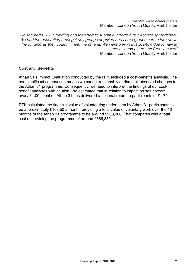#### *credibility with parents/carers*  Member, London Youth Quality Mark holder

*We secured £38k in funding and then had to submit a 9 page due diligence spreadsheet. We had the best rating amongst any groups applying and some groups had to turn down the funding as they couldn't meet the criteria. We were only in this position due to having recently completed the Bronze award*

Member, London Youth Quality Mark holder

#### Cost and Benefits

Athan 31's Impact Evaluation conducted by the RTK included a cost-benefits analysis. The non-significant comparison means we cannot reasonably attribute all observed changes to the Athan 31 programme. Consequently, we need to interpret the findings of our costbenefit analyses with caution. We estimated that in relation to impact on self-esteem, every £1.00 spent on Athan 31 has delivered a notional return to participants of £1.79.

RTK calculated the financial value of volunteering undertaken by Athan 31 participants to be approximately £168.50 a month, providing a total value of voluntary work over the 12 months of the Athan 31 programme to be around £238,000. That compares with a total cost of providing the programme of around £366,882.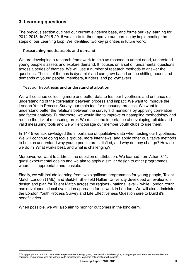# **3. Learning questions**

The previous section outlined our current evidence base, and forms our key learning for 2014-2015. In 2015-2016 we aim to further improve our learning by implementing the steps of our Learning loop. We identified two key priorities in future work:

- Researching needs, assets and demand

We are developing a research framework to help us respond to unmet need, understand young people's assets and explore demand. It focuses on a set of fundamental questions across a series of themes. We will use a number of research methods to answer the questions. The list of themes is dynamic<sup>[8](#page-11-0)</sup> and can grow based on the shifting needs and demands of young people, members, funders, and policymakers.

<span id="page-11-1"></span>- Test our hypothesis and understand attribution

We will continue collecting more and better data to test our hypothesis and enhance our understanding of the correlation between process and impact. We want to improve the London Youth Process Survey, our main tool for measuring process. We want to understand better the relations between the survey's dimensions by applying correlation and factor analysis. Furthermore, we would like to improve our sampling methodology and reduce the risk of measuring error. We realise the importance of developing reliable and valid measuring tools and we will encourage our member youth clubs to use them.

In 14-15 we acknowledged the importance of qualitative data when testing our hypothesis. We will continue doing focus groups, more interviews, and apply other qualitative methods to help us understand why young people are satisfied, and why do they change? How do we do it? What works best, and what is challenging?

Moreover, we want to address the question of attribution. We learned from Athan 31's quasi-experimental design and we aim to apply a similar design to other programmes where it is appropriate and feasible.

Finally, we will include learning from two significant programmes for young people, Talent Match London (TML), and Build-it. Sheffield Hallam University developed an evaluation design and plan for Talent Match across the regions - national level - while London Youth has developed a local evaluation approach for its work in London. We will also administer the London Youth Process Survey and Life Effectiveness Questionnaire to Build it's beneficiaries.

When possible, we will also aim to monitor outcomes in the long-term.

<span id="page-11-0"></span><sup>&</sup>lt;sup>[8](#page-11-1)</sup> Young people who are not in education, employment or training, young people with disabilities, girls, young people and members in outer London boroughs, young people who are vulnerable to radicalisation, members collaborating with schools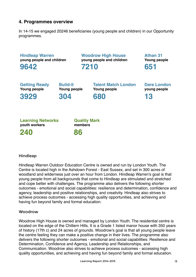# **4. Programmes overview**

In 14-15 we engaged 20246 beneficiaries (young people and children) in our Opportunity programmes.



#### **Hindleap**

Hindleap Warren Outdoor Education Centre is owned and run by London Youth. The Centre is located high in the Ashdown Forest - East Sussex, and set in 300 acres of woodland and wilderness just over an hour from London. Hindleap Warren's goal is that young people from all backgrounds that come to Hindleap are stimulated and stretched and cope better with challenges. The programme also delivers the following shorter outcomes - emotional and social capabilities: resilience and determination, confidence and agency, leadership and positive relationships, and creativity. Hindleap also strives to achieve process outcomes - accessing high quality opportunities, and achieving and having fun beyond family and formal education.

#### **Woodrow**

Woodrow High House is owned and managed by London Youth. The residential centre is located on the edge of the Chiltern Hills. It is a Grade 1 listed manor house with 350 years of history (17th c) and 24 acres of grounds. Woodrow's goal is that all young people leave the centre feeling they can make a positive change in their lives. The programme also delivers the following shorter outcomes - emotional and social capabilities: Resilience and Determination, Confidence and Agency, Leadership and Relationships, and Communication. Woodrow also strives to achieve process outcomes - accessing high quality opportunities, and achieving and having fun beyond family and formal education.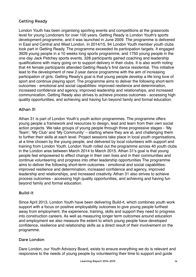## Getting Ready

London Youth has been organising sporting events and competitions at the grassroots level for young Londoners for over 100 years. Getting Ready is London Youth's sports development programme, and it was launched in June 2009. The programme is delivered in East and Central and West London. In 2014/15, 94 London Youth member youth clubs took part in Getting Ready. The programme exceeded its participation targets. It engaged 3929 young people in a 10 weeks long sports programme, and 1750 young people in the one day Jack Petchey sports events. 328 participants gained coaching and leadership qualifications with many going on to support delivery in their clubs. It is also worth noting that 44 female participants attended Getting Ready's first dance residential. This initiative lead to the development of new 2-year dance programme with the aim of increasing participation of girls. Getting Ready's goal is that young people develop a life long love of sport and continue playing sport. The programme aims to deliver the following short-term outcomes - emotional and social capabilities: improved resilience and determination, increased confidence and agency, improved leadership and relationships, and increased communication. Getting Ready also strives to achieve process outcomes - accessing high quality opportunities, and achieving and having fun beyond family and formal education.

## Athan 31

Athan 31 is part of London Youth's youth action programmes. The programme offers young people a framework and resources to design, lead and learn from their own social action projects. We take groups of young people through three progressive stages - 'My Team', 'My Club' and 'My Community' – starting where they are at, and challenging them to further their skills at each level. Project sessions take place in local youth organisations, at a time chosen by the young people, and delivered by local volunteers with support and training from London Youth. London Youth rolled out the programme across 40 youth clubs in the London area between March 2014 to March 2015. Athan 31's goal is that young people feel empowered to effect change in their own lives and in their communities and continue volunteering and progress into other leadership opportunities The programme aims to deliver the following short-term outcomes - emotional and social capabilities: improved resilience and determination, increased confidence and agency, improved leadership and relationships, and increased creativity. Athan 31 also strives to achieve process outcomes - accessing high quality opportunities, and achieving and having fun beyond family and formal education.

## Build-it

Since April 2013, London Youth have been delivering Build-it, which combines youth work support with a focus on positive employability outcomes to give young people furthest away from employment, the experience, training, skills and support they need to progress into construction careers. As well as measuring longer term outcomes around education and employment we also measure the extent to which young people have developed confidence, resilience and relationship skills as a direct result of their involvement on the programme.

## Dare London

Dare London, our Youth Advisory Board, exists to ensure everything we do is relevant and responsive to the needs of young people by volunteering their time to support and guide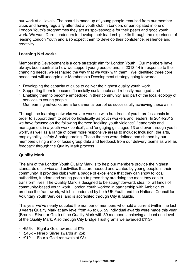our work at all levels. The board is made up of young people recruited from our member clubs and having regularly attended a youth club in London, or participated in one of London Youth's programmes they act as spokespeople for their peers and good youth work. We want Dare Londoners to develop their leadership skills through the experience of leading London Youth and also expect them to develop their confidence, resilience and creativity.

## Learning Networks

Membership Development is a core strategic aim for London Youth. Our members have always been central to how we support young people and, in 2013-14 in response to their changing needs, we reshaped the way that we work with them. We identified three core needs that will underpin our Membership Development strategy going forwards

- Developing the capacity of clubs to deliver the highest quality youth work
- Supporting them to become financially sustainable and robustly managed; and
- Enabling them to become embedded in their community, and part of the local ecology of services to young people
- Our learning networks are a fundamental part of us successfully achieving these aims.

Through the learning networks we are working with hundreds of youth professionals in order to support them to develop holistically as youth workers and leaders. In 2014-2015 we have focused on the following themes: 'tackling youth violence', 'leadership and management in a youth work context', and 'engaging girls aged 13 and over through youth work', as well as a range of other more responsive areas to include; Inclusion, the arts, employability, safety & safeguarding. These themes were defined and shaped by our members using a mix of focus group data and feedback from our delivery teams as well as feedback through the Quality Mark process.

#### Quality Mark

The aim of the London Youth Quality Mark is to help our members provide the highest standards of service and activities that are needed and wanted by young people in their community. It provides clubs with a badge of excellence that they can show to local authorities, funders and young people to prove they are doing the most they can to transform lives. The Quality Mark is designed to be straightforward, ideal for all kinds of community-based youth work. London Youth worked in partnership with Ambition to produce the framework, which is endorsed by both UK Youth and the National Council for Voluntary Youth Services, and is accredited through City & Guilds.

This year we've nearly doubled the number of members who hold a current (within the last 3 years) Quality Mark at any level from 46 to 86. 59 Individual awards were made this year (Bronze, Silver or Gold) of the Quality Mark with 39 members achieving at least one level of the Quality Mark. Also through City Bridge Trust grants we awarded £113k.

- ·£56k Eight x Gold awards at £7k
- ·£45k Nine x Silver awards at £5k
- ·£12k Four x Gold renewals at £3k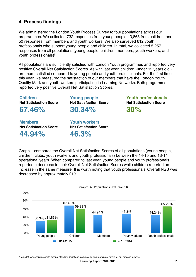# **4. Process findings**

We administered the London Youth Process Survey to four populations across our programmes. We collected 732 responses from young people, 3,863 from children, and 50 responses from members and youth workers. We also surveyed 612 youth professionals who support young people and children. In total, we collected 5,257 responses from all populations (young people, children, members, youth workers, and vouth professionals $)9$  $)9$ .

<span id="page-15-1"></span>All populations are sufficiently satisfied with London Youth programmes and reported very positive Overall Net Satisfaction Scores. As with last year, children -under 12 years old are more satisfied compared to young people and youth professionals. For the first time this year, we measured the satisfaction of our members that have the London Youth Quality Mark and youth workers participating in Learning Networks. Both programmes reported very positive Overall Net Satisfaction Scores.

**Children Net Satisfaction Score**

**67.46%**

**Members Net Satisfaction Score 44.94%**

**Young people Net Satisfaction Score 30.34%**

**Youth professionals Net Satisfaction Score 30%**

**Youth workers Net Satisfaction Score 46.3%**

Graph 1 compares the Overall Net Satisfaction Scores of all populations (young people, children, clubs, youth workers and youth professionals) between the 14-15 and 13-14 operational years. When compared to last year, young people and youth professionals reported a decrease in their Overall Net Satisfaction Scores while children reported an increase in the same measure. It is worth noting that youth professionals' Overall NSS was decreased by approximately 21%.



Graph1: All Populations NSS (Overall)

<span id="page-15-0"></span>[9](#page-15-1) Table 28 (Appendix) presents means, standard deviations, sample size and margins of errors for our process surveys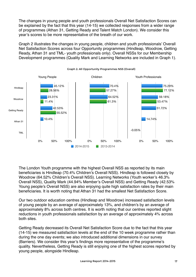The changes in young people and youth professionals Overall Net Satisfaction Scores can be explained by the fact that this year (14-15) we collected responses from a wider range of programmes (Athan 31, Getting Ready and Talent Match London). We consider this year's scores to be more representative of the breath of our work.

Graph 2 illustrates the changes in young people, children and youth professionals' Overall Net Satisfaction Scores across four Opportunity programmes (Hindleap, Woodrow, Getting Ready, Athan 31 and TML- youth professionals only). Overall NSSs for our Membership Development programmes (Quality Mark and Learning Networks are included in Graph 1).



Graph 2: All Opportunity Programmes NSS (Overall)

The London Youth programme with the highest Overall NSS as reported by its main beneficiaries is Hindleap (70.4% Children's Overall NSS). Hindleap is followed closely by Woodrow (64.52% Children's Overall NSS). Learning Networks (Youth worker's 46.3% Overall NSS), Quality Mark (44.94% Member's Overall NSS) and Getting Ready (42.53% Young people's Overall NSS) are also enjoying quite high satisfaction rates by their main beneficiaries. It is worth noting that Athan 31 had the smallest Net Satisfaction Score.

Our two outdoor education centres (Hindleap and Woodrow) increased satisfaction levels of young people by an average of approximately 13%, and children's by an average of approximately 8% across both centres. It is worth noting that our centres reported slight reductions in youth professionals satisfaction by an average of approximately 4% across both sites.

Getting Ready decreased its Overall Net Satisfaction Score due to the fact that this year (14-15) we measured satisfaction levels at the end of the 10 week programme rather than during the one day events; we also introduced additional dimensions in our survey (Barriers). We consider this year's findings more representative of the programme's quality. Nevertheless, Getting Ready is still enjoying one of the highest scores reported by young people, alongside Hindleap.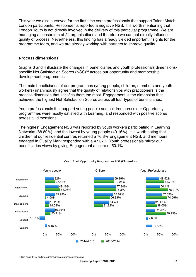This year we also surveyed for the first time youth professionals that support Talent Match London participants. Respondents reported a negative NSS. It is worth mentioning that London Youth is not directly involved in the delivery of this particular programme. We are managing a consortium of 24 organisations and therefore we can not directly influence quality of process. Nevertheless, this finding has already yielded important insights for the programme team, and we are already working with partners to improve quality.

#### Process dimensions

<span id="page-17-1"></span>Graphs 3 and 4 illustrate the changes in beneficiaries and youth professionals dimensions-specific Net Satisfaction Scores (NSS)<sup>[10](#page-17-0)</sup> across our opportunity and membership development programmes.

The main beneficiaries of our programmes (young people, children, members and youth workers) unanimously agree that the quality of relationships with practitioners is the process dimension that satisfies them the most. Engagement is the dimension that achieved the highest Net Satisfaction Scores across all four types of beneficiaries.

Youth professionals that support young people and children across our Opportunity programmes were mostly satisfied with Learning, and responded with positive scores across all dimensions.

The highest Engagement NSS was reported by youth workers participating in Learning Networks (88.89%), and the lowest by young people (49.16%). It is worth noting that children at our residential centres returned a 76.3% Engagement NSS, and members engaged in Quality Mark responded with a 47.37%. Youth professionals mirror our beneficiaries views by giving Engagement a score of 50.1%



#### Graph 3: All Opportunity Programmes NSS (Dimensions)

<span id="page-17-0"></span><sup>&</sup>lt;sup>[10](#page-17-1)</sup> See page 48 to find more information on process dimensions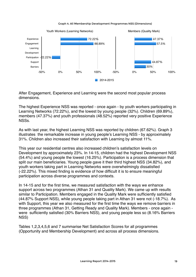Graph 4: All Membership Development Programmes NSS (Dimensions)



After Engagement, Experience and Learning were the second most popular process dimensions.

The highest Experience NSS was reported - once again - by youth workers participating in Learning Networks (72.22%), and the lowest by young people (32%). Children (69.89%), members (47.37%) and youth professionals (48.52%) reported very positive Experience NSSs.

As with last year, the highest Learning NSS was reported by children (67.62%). Graph 3 illustrates the remarkable increase in young people's Learning NSS - by approximately 31%. Children also increased their satisfaction with Learning by almost 11%.

This year our residential centres also increased children's satisfaction levels on Development by approximately 23%. In 14-15, children had the highest Development NSS (54.4%) and young people the lowest (16.25%). Participation is a process dimension that split our main beneficiaries. Young people gave it their third highest NSS (34.82%), and youth workers taking part in Learning Networks were overwhelmingly dissatisfied (-22.22%). This mixed finding is evidence of how difficult it is to ensure meaningful participation across diverse programmes and contexts.

In 14-15 and for the first time, we measured satisfaction with the ways we enhance support across two programmes (Athan 31 and Quality Mark). We came up with results similar to Participation. Members engaged in the Quality Mark were sufficiently satisfied (44.87% Support NSS), while young people taking part in Athan 31 were not (-18.7%). As with Support, this year we also measured for the first time the ways we remove barriers in three programmes (Athan 31, Getting Ready and Quality Mark). Members - once again were sufficiently satisfied (30% Barriers NSS), and young people less so (8.16% Barriers NSS)

Tables 1,2,3,4,5,6 and 7 summarise Net Satisfaction Scores for all programmes (Opportunity and Membership Development) and across all process dimensions.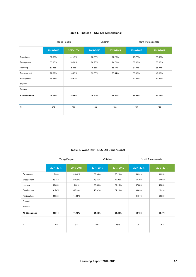| Table 1: Hindleap - NSS (All Dimensions) |  |  |
|------------------------------------------|--|--|
|------------------------------------------|--|--|

|                       | Young People |           | Children  |           | Youth Professionals |           |
|-----------------------|--------------|-----------|-----------|-----------|---------------------|-----------|
|                       | 2014-2015    | 2013-2014 | 2014-2015 | 2013-2014 | 2014-2015           | 2013-2014 |
| Experience            | 32.56%       | 41.47%    | 68.83%    | 71.28%    | 75.72%              | 80.03%    |
| Engagement            | 53.96%       | 59.88%    | 76.23%    | 74.71%    | 88.03%              | 88.36%    |
| Learning              | 50.86%       | 5.36%     | 76.66%    | 56.57%    | 87.35%              | 85.41%    |
| Development           | 22.57%       | 10.27%    | 59.88%    | 26.54%    | 55.08%              | 49.80%    |
| Participation         | 65.68%       | 25.82%    |           |           | 70.26%              | 81.99%    |
| Support               |              |           |           |           |                     |           |
| <b>Barriers</b>       |              |           |           |           |                     |           |
| <b>All Dimensions</b> | 45.12%       | 28.56%    | 70.40%    | 57.27%    | 75.29%              | 77.12%    |
|                       |              |           |           |           |                     |           |
| N                     | 324          | 522       | 1166      | 1331      | 208                 | 241       |
|                       |              |           |           |           |                     |           |

#### Table 2: Woodrow - NSS (All Dimensions)

|                       | Young People |           | Children  |           | Youth Professionals |           |
|-----------------------|--------------|-----------|-----------|-----------|---------------------|-----------|
|                       | 2014-2015    | 2013-2014 | 2014-2015 | 2013-2014 | 2014-2015           | 2013-2014 |
| Experience            | 15.53%       | 25.40%    | 70.94%    | 73.20%    | 59.92%              | 49.55%    |
| Engagement            | 30.75%       | 50.20%    | 79.65%    | 77.90%    | 67.79%              | 67.66%    |
| Learning              | 35.08%       | 4.00%     | 58.59%    | 57.10%    | 67.53%              | 63.96%    |
| Development           | 0.24%        | $-37.50%$ | 48.92%    | 37.10%    | 39.65%              | 26.29%    |
| Participation         | 34.95%       | 14.60%    |           |           | 61.01%              | 59.88%    |
| Support               |              |           |           |           |                     |           |
| <b>Barriers</b>       |              |           |           |           |                     |           |
| <b>All Dimensions</b> | 23.31%       | 11.40%    | 64.52%    | 61.30%    | 59.18%              | 53.47%    |
|                       |              |           |           |           |                     |           |
| Ν                     | 192          | 322       | 2697      | 1616      | 351                 | 303       |
|                       |              |           |           |           |                     |           |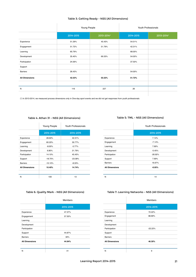#### Table 3: Getting Ready - NSS (All Dimensions)

 $\hat{\mathbf{r}}$ 

|                       | Young People     |            |           | Youth Professionals |
|-----------------------|------------------|------------|-----------|---------------------|
|                       | 2014-2015        | 2013-2014* | 2014-2015 | 2013-2014*          |
| Experience            | 51.29%           | 45.43%     | 54.51%    |                     |
| Engagement            | 51.72%           | 51.79%     | 42.31%    |                     |
| Learning              | 65.79%           |            | 68.00%    |                     |
| Development           | 35.40%           | 69.33%     | 54.00%    |                     |
| Participation         | 24.56%           |            | 37.50%    |                     |
| Support               |                  |            |           |                     |
| <b>Barriers</b>       | 26.43%           |            | 54.00%    |                     |
| <b>All Dimensions</b> | 42.53%<br>55.52% |            | 51.72%    |                     |
|                       |                  |            |           |                     |
| N                     | 116              | 227        | 26        |                     |
|                       |                  |            |           |                     |

(\*) In 2013-2014, we measured process dimensions only in One-day sport events and we did not get responses from youth professionals

#### Table 4: Athan 31 - NSS (All Dimensions)

|                       | Young People | Youth Professionals |
|-----------------------|--------------|---------------------|
|                       | 2014-2015    | 2014-2015           |
| Experience            | 28.60%       | 42.31%              |
| Engagement            | 60.20%       | 30.77%              |
| Learning              | $-8.00%$     | $-5.77%$            |
| Development           | 6.80%        | 21.79%              |
| Participation         | 14.10%       | 45.45%              |
| Support               | $-18.70%$    | $-23.08%$           |
| <b>Barriers</b>       | $-10.10%$    | $-8.33%$            |
| <b>All Dimensions</b> | 10.40%       | 14.74%              |
| N                     | 100          | 13                  |

#### Table 5: TML - NSS (All Dimensions)

|                       | Youth Professionals |  |
|-----------------------|---------------------|--|
|                       | 2014-2015           |  |
| Experience            | 7.14%               |  |
| Engagement            | $-7.14%$            |  |
| Learning              | 7.69%               |  |
| Development           | $-5.45%$            |  |
| Participation         | $-26.92%$           |  |
| Support               | 7.69%               |  |
| <b>Barriers</b>       | 16.67%              |  |
| <b>All Dimensions</b> | $-0.05%$            |  |
| N                     | 14                  |  |

#### Table 6: Quality Mark - NSS (All Dimensions)

|                       | <b>Members</b> |
|-----------------------|----------------|
|                       | 2014-2015      |
| Experience            | 47.37%         |
| Engagement            | 57.50%         |
| Learning              |                |
| Development           |                |
| Participation         |                |
| Support               | 44.87%         |
| <b>Barriers</b>       | 30%            |
| <b>All Dimensions</b> | 44.94%         |
| N                     | 41             |

#### Table 7: Learning Networks - NSS (All Dimensions)

|                       | <b>Members</b> |
|-----------------------|----------------|
|                       | 2014-2015      |
| Experience            | 72.22%         |
| Engagement            | 88.89%         |
| Learning              |                |
| Development           |                |
| Participation         | $-22.22%$      |
| Support               |                |
| <b>Barriers</b>       |                |
| <b>All Dimensions</b> | 46.30%         |
|                       |                |
| Ν                     | 9              |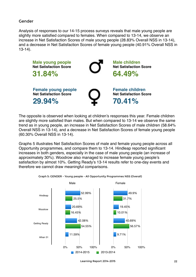#### Gender

Analysis of responses to our 14-15 process surveys reveals that male young people are slightly more satisfied compared to females. When compared to 13-14, we observe an increase in Net Satisfaction Scores of male young people (28.83% Overall NSS in 13-14), and a decrease in Net Satisfaction Scores of female young people (40.91% Overall NSS in 13-14).



The opposite is observed when looking at children's responses this year. Female children are slightly more satisfied than males. But when compared to 13-14 we observe the same trend as in young people, an increase in Net Satisfaction Scores of male children (58.64% Overall NSS in 13-14), and a decrease in Net Satisfaction Scores of female young people (60.30% Overall NSS in 13-14).

Graphs 5 illustrates Net Satisfaction Scores of male and female young people across all Opportunity programmes, and compare them to 13-14. Hindleap reported significant increases in both genders, especially in the case of male young people (an increase of approximately 30%). Woodrow also managed to increase female young people's satisfaction by almost 10%. Getting Ready's 13-14 results refer to one-day events and therefore we cannot draw meaningful comparisons.



Graph 5: GENDER - Young people - All Opportunity Programmes NSS (Overall)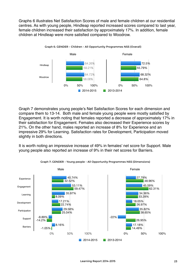Graphs 6 illustrates Net Satisfaction Scores of male and female children at our residential centres. As with young people, Hindleap reported increased scores compared to last year, female children increased their satisfaction by approximately 17%. In addition, female children at Hindleap were more satisfied compared to Woodrow.



Graph 7 demonstrates young people's Net Satisfaction Scores for each dimension and compare them to 13-14. Both male and female young people were mostly satisfied by Engagement. It is worth noting that females reported a decrease of approximately 17% in their satisfaction for Engagement. Females also decreased their Experience scores by 21%. On the other hand, males reported an increase of 8% for Experience and an impressive 29% for Learning. Satisfaction rates for Development, Participation moved slightly in both directions.

It is worth noting an impressive increase of 49% in females' net score for Support. Male young people also reported an increase of 9% in their net scores for Barriers.



#### Graph 7: GENDER - Young people - All Opportunity Programmes NSS (Dimensions)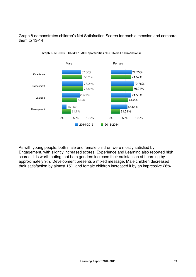Graph 8 demonstrates children's Net Satisfaction Scores for each dimension and compare them to 13-14



Graph 8: GENDER - Children- All Opportunities NSS (Overall & Dimensions)

As with young people, both male and female children were mostly satisfied by Engagement, with slightly increased scores. Experience and Learning also reported high scores. It is worth noting that both genders increase their satisfaction of Learning by approximately 9%. Development presents a mixed message. Male children decreased their satisfaction by almost 15% and female children increased it by an impressive 26%.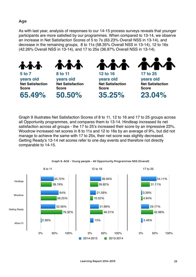## Age

As with last year, analysis of responses to our 14-15 process surveys reveals that younger participants are more satisfied by our programmes. When compared to 13-14, we observe an increase in Net Satisfaction Scores of 5 to 7s (63.23% Overall NSS in 13-14), and decrease in the remaining groups, 8 to 11s (58.35% Overall NSS in 13-14), 12 to 16s (42.26% Overall NSS in 13-14), and 17 to 25s (36.97% Overall NSS in 13-14).



Graph 9 illustrates Net Satisfaction Scores of 8 to 11, 12 to 16 and 17 to 25 groups across all Opportunity programmes, and compares them to 13-14. Hindleap increased its net satisfaction across all groups - the 17 to 25's increased their score by an impressive 23%. Woodrow increased net scores in 8 to 11s and 12 to 16s by an average of 9%, but did not manage to achieve the same with 17 to 25s, their net score was slightly decreased. Getting Ready's 13-14 net scores refer to one day events and therefore not directly comparable to 14-15.



Graph 9: AGE - Young people - All Opportunity Programmes NSS (Overall)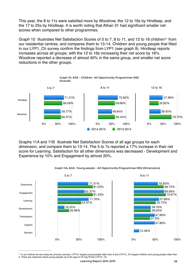This year, the 8 to 11s were satisfied more by Woodrow, the 12 to 16s by Hindleap, and the 17 to 25s by Hindleap. It is worth noting that Athan 31 had significant smaller net scores when compared to other programmes.

<span id="page-25-1"></span>Graph 10 illustrates Net Satisfactio[n](#page-25-0) Scores of 5 to 7, 8 to [11](#page-25-0), and 12 to 16 children<sup>11</sup> from our residential centres, and compares them to 13-14. Children and young people that filled in our LYP1 Ch survey confirm the findings from LYP1 (see graph 9). Hindleap reports increases across all groups, with the 12 to 16s increasing their net score by 16%. Woodrow reported a decrease of almost 40% in the same group, and smaller net score reductions in the other groups.



Graphs 11A and 11B illustrate Net Satisfaction Scores of all age groups for each dimension, and compare them to 13-14. The 5 to 7s reported a 17% increase in their net score for Learning. Satisfaction for all other dimensions was decreased - Development and Experience by 10% and Engagement by almost 20%.



Graph 11A: AGE- Young people - All Opportunity Programmes NSS (Dimensions)

<span id="page-25-0"></span>[<sup>11</sup>](#page-25-1) In our centres we are using two process surveys. LYP-01 targets young people older than 8 and LYP-01\_Ch targets children and young people older than 5. There are instances where young people up to the age of 16 may fill the LYP-01\_Ch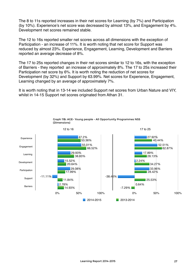The 8 to 11s reported increases in their net scores for Learning (by 7%) and Participation (by 10%). Experience's net score was decreased by almost 13%, and Engagement by 4%. Development net scores remained stable.

The 12 to 16s reported smaller net scores across all dimensions with the exception of Participation - an increase of 11%. It is worth noting that net score for Support was reduced by almost 23%. Experience, Engagement, Learning, Development and Barriers reported an average decrease of 8%.

The 17 to 25s reported changes in their net scores similar to 12 to 16s, with the exception of Barriers - they reported an increase of approximately 8%. The 17 to 25s increased their Participation net score by 6%. It is worth noting the reduction of net scores for Development (by 32%) and Support by 63.99%. Net scores for Experience, Engagement, Learning changed by an average of approximately 7%.

It is worth noting that in 13-14 we included Support net scores from Urban Nature and VIY, whilst in 14-15 Support net scores originated from Athan 31.



Graph 11B: AGE- Young people - All Opportunity Programmes NSS (Dimensions)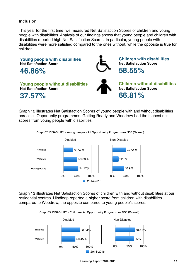#### Inclusion

This year for the first time we measured Net Satisfaction Scores of children and young people with disabilities. Analysis of our findings shows that young people and children with disabilities reported high Net Satisfaction Scores. In particular, young people with disabilities were more satisfied compared to the ones without, while the opposite is true for children.



Graph 12 illustrates Net Satisfaction Scores of young people with and without disabilities across all Opportunity programmes. Getting Ready and Woodrow had the highest net scores from young people with disabilities.





Graph 13 illustrates Net Satisfaction Scores of children with and without disabilities at our residential centres. Hindleap reported a higher score from children with disabilities compared to Woodrow, the opposite compared to young people's scores.





Learning Report 2014-2015 28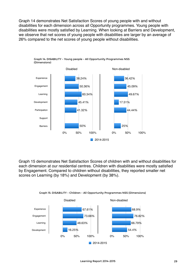Graph 14 demonstrates Net Satisfaction Scores of young people with and without disabilities for each dimension across all Opportunity programmes. Young people with disabilities were mostly satisfied by Learning. When looking at Barriers and Development, we observe that net scores of young people with disabilities are larger by an average of 26% compared to the net scores of young people without disabilities.



Graph 15 demonstrates Net Satisfaction Scores of children with and without disabilities for each dimension at our residential centres. Children with disabilities were mostly satisfied by Engagement. Compared to children without disabilities, they reported smaller net scores on Learning (by 18%) and Development (by 38%).



Graph 15: DISABILITY - Children - All Opportunity Programmes NSS (Dimensions)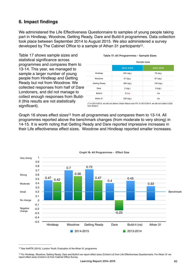# **6. Impact findings**

We administered the Life Effectiveness Questionnaire to samples of young people taking part in Hindleap, Woodrow, Getting Ready, Dare and Build-it programmes. Data collection took place between September 2014 to August 2015. We also administered a survey developed by The Cabinet Office to a sample of Athan 31 participants<sup>[12](#page-29-0)</sup>.

Table 17 shows sample sizes and statistical significance across programmes and compares them to 13-14. This year, we managed to sample a larger number of young people from Hindleap and Getting Ready but not from Woodrow. We collected responses from half of Dare Londoners, and did not manage to collect enough responses from Buildit (this results are not statistically significant).

|                      | Sample sizes |            |  |  |  |
|----------------------|--------------|------------|--|--|--|
|                      | 2014-2015    | 2013-2014  |  |  |  |
| Hindleap             | 224 (sig.)   | 78 (sig.)  |  |  |  |
| Woodrow              | 37 (sig.)    | 87 (sig.)  |  |  |  |
| <b>Getting Ready</b> | 383 (sig.)   | 195 (sig.) |  |  |  |
| Dare                 | 5 (sig.)     | $9$ (sig.) |  |  |  |
| Build-it             | $9$ (ns)     | n/a        |  |  |  |
| Athan 31             | 230 (sig.)   | n/a        |  |  |  |
|                      |              |            |  |  |  |

#### <span id="page-29-2"></span>Table 17: All Programmes - Sample Sizes

<span id="page-29-3"></span>(\*) In 2014-2015, we did not deliver Urban Nature and VIY. In 2013-2014, we did not collect LEQs from Build-it

Graph 16 [s](#page-29-1)hows effect sizes<sup>[13](#page-29-1)</sup> from all programmes and compares them to 13-14. All programmes reported above the benchmark changes (from moderate to very strong) in 14-15. It is worth noting that Getting Ready and Dare reported impressive increases in their Life effectiveness effect sizes. Woodrow and Hindleap reported smaller increases.



Graph 16: All Programmes - Effect Size

<span id="page-29-0"></span><sup>&</sup>lt;sup>[12](#page-29-2)</sup> See theRTK (2015), London Youth: Evaluation of the Athan 31 programme

<span id="page-29-1"></span>[<sup>13</sup>](#page-29-3) For Hindleap, Woodrow, Getting Ready, Dare and Build-it we report effect sizes (Cohen's d) from Life Effectiveness Questionnaire. For Athan 31 we report effect sizes (Cohen's d) from Cabinet Office Survey.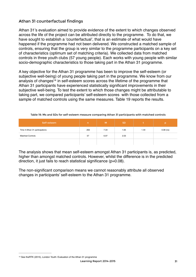## Athan 31 counterfactual findings

Athan 31's evaluation aimed to provide evidence of the extent to which changes observed across the life of the project can be attributed directly to the programme. To do that, we have sought to establish a 'counterfactual', that is an estimate of what would have happened if the programme had not been delivered. We constructed a matched sample of controls, ensuring that the group is very similar to the programme participants on a key set of characteristics (optimum set of matching criteria). We collected data from matched controls in three youth clubs (57 young people). Each works with young people with similar socio-demographic characteristics to those taking part in the Athan 31 programme.

<span id="page-30-1"></span>A key objective for the Athan 31 programme has been to improve the self-esteem (or subjective well-being) of young people taking part in the programme. We know from our analy[s](#page-30-0)is of changes<sup>[14](#page-30-0)</sup> in self-esteem scores across the lifetime of the programme that Athan 31 participants have experienced statistically significant improvements in their subjective well-being. To test the extent to which those changes might be attributable to taking part, we compared participants' self-esteem scores with those collected from a sample of matched controls using the same measures. Table 19 reports the results.

| Self-esteem                    | 'n  | M    | <b>SD</b> |      | b           |
|--------------------------------|-----|------|-----------|------|-------------|
| Time 4 Athan 31 participations | 263 | 7.34 | 1.65      | 1.44 | $0.08$ (ns) |
| <b>Matched Controls</b>        | 57  | 6.97 | 2.03      |      |             |
|                                |     |      |           |      |             |

Table 19: Ms and SDs for self-esteem measure comparing Athan 31 participants with matched controls

The analysis shows that mean self-esteem amongst Athan 31 participants is, as predicted, higher than amongst matched controls. However, whilst the difference is in the predicted direction, it just fails to reach statistical significance (p=0.08).

The non-significant comparison means we cannot reasonably attribute all observed changes in participants' self-esteem to the Athan 31 programme.

<span id="page-30-0"></span><sup>&</sup>lt;sup>[14](#page-30-1)</sup> See theRTK (2015), London Youth: Evaluation of the Athan 31 programme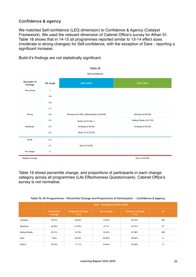## Confidence & agency

We matched Self-confidence (LEQ dimension) to Confidence & Agency (Catalyst Framework). We used the relevant dimension of Cabinet Office's survey for Athan 31. Table 18 shows that in 14-15 all programmes reported similar to 13-14 effect sizes (moderate to strong changes) for Self-confidence, with the exception of Dare - reporting a significant increase.

Build-it's findings are not statistically significant.

|                       |                     | Table 18                                  |                         |
|-----------------------|---------------------|-------------------------------------------|-------------------------|
|                       |                     | Self-confidence                           |                         |
| Strength of<br>Change | ES range            | 2014-2015                                 | 2013-2014               |
| Very strong           | $\mathbf{1}$        |                                           |                         |
|                       | 0.9                 |                                           |                         |
|                       | 0.8                 |                                           |                         |
|                       | 0.7                 |                                           |                         |
| Strong                | 0.6                 | Woodrow (0.6 ES), Getting Ready (0.68 ES) | Woodrow (0.64 ES)       |
|                       | 0.5                 | Build-it (0.53 ES) ns                     | Getting Ready (0.51 ES) |
| Moderate              | 0.4                 | Hindleap (0.48 ES)                        | Hindleap (0.45 ES)      |
|                       | 0.3                 | Athan 31 (0.33 ES)                        |                         |
| Small                 | 0.2                 |                                           |                         |
|                       | 0.1                 | Dare (0.18 ES)                            |                         |
| No change             | $\mathsf{O}\xspace$ |                                           |                         |
| Negative change       |                     |                                           | Dare (-0.63 ES)         |

Table 19 shows percentile change, and proportions of participants in each change category across all programmes (Life Effectiveness Questionnaire). Cabinet Office's survey is not normative.

|               | Self - Confidence (2014-2015) |                          |           |                          |     |  |
|---------------|-------------------------------|--------------------------|-----------|--------------------------|-----|--|
|               | Percentile<br>change          | Negative change<br>< 0.2 | No change | Positive change<br>> 0.2 | N   |  |
| Hindleap      | 18.57%                        | 22.32%                   | 12.50%    | 65.18%                   | 224 |  |
| Woodrow       | 22.42%                        | 21.62%                   | 8.11%     | 67.57%                   | 37  |  |
| Getting Ready | 25.21%                        | 16.19%                   | 16.45%    | 67.36%                   | 383 |  |
| Dare          | 7.09%                         | 20.00%                   | 20.00%    | 60.00%                   | 5   |  |
| Build-it      | 20.16%                        | 11.11%                   | 44.44%    | 33.33%                   | 9   |  |

#### Table 19: All Programmes - Percentile Change and Proportions of Participants - Confidence & Agency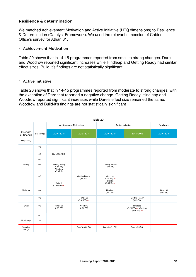#### Resilience & determination

We matched Achievement Motivation and Active Initiative (LEQ dimensions) to Resilience & Determination (Catalyst Framework). We used the relevant dimension of Cabinet Office's survey for Athan 31.

#### - Achievement Motivation

Table 20 shows that in 14-15 programmes reported from small to strong changes. Dare and Woodrow reported significant increases while Hindleap and Getting Ready had similar effect sizes. Build-it's findings are not statistically significant.

#### - Active Initiative

Table 20 shows that in 14-15 programmes reported from moderate to strong changes, with the exception of Dare that reported a negative change. Getting Ready, Hindleap and Woodrow reported significant increases while Dare's effect size remained the same. Woodrow and Build-it's findings are not statistically significant

|                       | Table 20     |                                                          |                               |                                                        |                                                    |                       |  |
|-----------------------|--------------|----------------------------------------------------------|-------------------------------|--------------------------------------------------------|----------------------------------------------------|-----------------------|--|
|                       |              |                                                          | <b>Achievement Motivation</b> |                                                        | Active Initiative                                  | Resilience            |  |
| Strength<br>of Change | ES range     | 2014-2015                                                | 2013-2014                     | 2014-2015                                              | 2013-2014                                          | 2014-2015             |  |
| Very strong           | $\mathbf{1}$ |                                                          |                               |                                                        |                                                    |                       |  |
|                       | 0.9          |                                                          |                               |                                                        |                                                    |                       |  |
|                       | 0.8          | Dare (0.82 ES)                                           |                               |                                                        |                                                    |                       |  |
|                       | 0.7          |                                                          |                               |                                                        |                                                    |                       |  |
| Strong                | 0.6          | Getting Ready<br>(0.64 ES)<br><b>Woodrow</b><br>(0.6 ES) |                               | <b>Getting Ready</b><br>(0.6 ES)                       |                                                    |                       |  |
|                       | 0.5          | Build-it<br>$(0.54$ ES) ns                               | Getting Ready<br>(0.5 E S)    | Woodrow<br>$(0.56$ ES) ns<br>Build-it<br>$(0.5$ ES) ns |                                                    |                       |  |
| Moderate              | 0.4          |                                                          |                               | Hindleap<br>$(0.47 \text{ ES})$                        |                                                    | Athan 31<br>(0.42 ES) |  |
|                       | 0.3          |                                                          | Hindleap<br>$(0.31$ ES) ns    |                                                        | Getting Ready<br>(0.35 ES)                         |                       |  |
| Small                 | 0.2          | Hindleap<br>(0.26 ES)                                    | Woodrow<br>(0.21 E S)         |                                                        | Hindleap<br>(0.29 ES) ns Woodrow<br>$(0.24$ ES) ns |                       |  |
|                       | 0.1          |                                                          |                               |                                                        |                                                    |                       |  |
| No change             | $\mathsf 0$  |                                                          |                               |                                                        |                                                    |                       |  |
| Negative<br>change    |              |                                                          | Dare* (-0.23 ES)              | Dare (-0.51 ES)                                        | Dare (-0.5 ES)                                     |                       |  |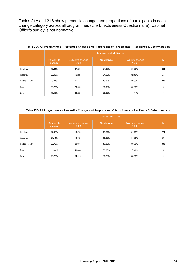Tables 21A and 21B show percentile change, and proportions of participants in each change category across all programmes (Life Effectiveness Questionnaire). Cabinet Office's survey is not normative.

|               | <b>Achievement Motivation</b> |                          |           |                          |     |  |
|---------------|-------------------------------|--------------------------|-----------|--------------------------|-----|--|
|               | Percentile<br>change          | Negative change<br>< 0.2 | No change | Positive change<br>> 0.2 | N   |  |
| Hindleap      | 10.24%                        | 27.23%                   | 21.88%    | 50.89%                   | 224 |  |
| Woodrow       | 22.49%                        | 16.22%                   | 21.62%    | 62.16%                   | 37  |  |
| Getting Ready | 23.94%                        | 21.15%                   | 19.32%    | 59.53%                   | 383 |  |
| Dare          | 29.28%                        | 20.00%                   | 20.00%    | 60.00%                   | 5   |  |
| Build-it      | 17.49%                        | 22.22%                   | 22.22%    | 44.44%                   | 9   |  |

#### Table 21A: All Programmes - Percentile Change and Proportions of Participants - Resilience & Determination

Table 21B: All Programmes - Percentile Change and Proportions of Participants - Resilience & Determination

|               | <b>Active Initiative</b> |                          |           |                          |     |  |
|---------------|--------------------------|--------------------------|-----------|--------------------------|-----|--|
|               | Percentile<br>change     | Negative change<br>< 0.2 | No change | Positive change<br>> 0.2 | N   |  |
| Hindleap      | 17.92%                   | 19.20%                   | 19.64%    | 61.16%                   | 224 |  |
| Woodrow       | 21.14%                   | 18.92%                   | 16.22%    | 64.86%                   | 37  |  |
| Getting Ready | 22.72%                   | 20.37%                   | 19.32%    | 60.05%                   | 383 |  |
| Dare          | $-19.44%$                | 40.00%                   | 60.00%    | 0.00%                    | 5   |  |
| Build-it      | 19.22%                   | 11.11%                   | 22.22%    | 55.56%                   | 9   |  |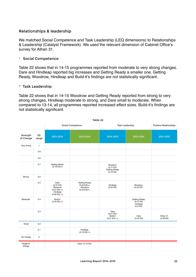## Relationships & leadership

We matched Social Competence and Task Leadership (LEQ dimensions) to Relationships & Leadership (Catalyst Framework). We used the relevant dimension of Cabinet Office's survey for Athan 31.

#### - Social Competence

Table 22 shows that in 14-15 programmes reported from moderate to very strong changes. Dare and Hindleap reported big increases and Getting Ready a smaller one. Getting Ready, Woodrow, Hindleap and Build-it's findings are not statistically significant.

#### - Task Leadership

Table 22 shows that in 14-15 Woodrow and Getting Ready reported from strong to very strong changes, Hindleap moderate to strong, and Dare small to moderate. When compared to 13-14, all programmes reported increased effect sizes. Build-it's findings are not statistically significant.

|                       |              |                                                                             | Table 22                                                          |                                                            |                                                             |                       |
|-----------------------|--------------|-----------------------------------------------------------------------------|-------------------------------------------------------------------|------------------------------------------------------------|-------------------------------------------------------------|-----------------------|
|                       |              |                                                                             | Social Competence                                                 |                                                            | <b>Task Leadership</b>                                      |                       |
| Strength<br>of Change | ES<br>range  | 2014-2015                                                                   | 2013-2014                                                         | 2014-2015                                                  | 2013-2014                                                   | 2014-2015             |
| Very strong           | $\mathbf{1}$ |                                                                             |                                                                   |                                                            |                                                             |                       |
|                       | 0.9          |                                                                             |                                                                   |                                                            |                                                             |                       |
|                       | 0.8          |                                                                             |                                                                   |                                                            |                                                             |                       |
|                       | 0.7          | Getting Ready<br>$(0.79$ ES)ns                                              |                                                                   | Woodrow<br>(0.77ES)<br><b>Getting Ready</b><br>$(0.72$ ES) |                                                             |                       |
| Strong                | 0.6          |                                                                             |                                                                   |                                                            |                                                             |                       |
|                       | 0.5          | Dare<br>(0.57ES)<br>Woodrow<br>$(0.57$ ES) ns<br>Hindleap<br>$(0.56$ ES) ns | <b>Getting Ready</b><br>$(0.52$ ES)ns<br>Woodrow<br>$(0.52$ ES)ns | Hindleap<br>(0.52 ES)                                      | Woodrow<br>(0.52 ES)                                        |                       |
| Moderate              | 0.4          | Build-it<br>$(0.45$ ES) ns                                                  |                                                                   |                                                            | <b>Getting Ready</b><br>$(0.47$ ES)<br>Hindleap<br>(0.4 ES) |                       |
|                       | 0.3          |                                                                             |                                                                   | Dare<br>(0.27 ES)<br>Build-it<br>$(0.21$ ES) ns            | Dare<br>(0.24 ES)                                           | Athan 31<br>(0.38 ES) |
| Small                 | 0.2          |                                                                             |                                                                   |                                                            |                                                             |                       |
|                       | 0.1          |                                                                             | Hindleap<br>$(0.19$ ES) ns                                        |                                                            |                                                             |                       |
| No change             | $\mathsf 0$  |                                                                             |                                                                   |                                                            |                                                             |                       |
| Negative<br>change    |              |                                                                             | Dare (-0.16 ES)                                                   |                                                            |                                                             |                       |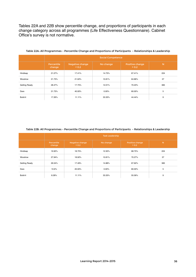Tables 22A and 22B show percentile change, and proportions of participants in each change category across all programmes (Life Effectiveness Questionnaire). Cabinet Office's survey is not normative.

|                      | <b>Social Competence</b> |                          |           |                          |     |  |
|----------------------|--------------------------|--------------------------|-----------|--------------------------|-----|--|
|                      | Percentile<br>change     | Negative change<br>< 0.2 | No change | Positive change<br>> 0.2 | N   |  |
| Hindleap             | 21.07%                   | 17.41%                   | 14.73%    | 67.41%                   | 224 |  |
| Woodrow              | 21.73%                   | 21.62%                   | 10.81%    | 64.86%                   | 37  |  |
| <b>Getting Ready</b> | 28.47%                   | 17.75%                   | 12.01%    | 70.23%                   | 383 |  |
| Dare                 | 21.73%                   | 40.00%                   | $0.00\%$  | 60.00%                   | 5   |  |
| Build-it             | 17.26%                   | 11.11%                   | 33.33%    | 44.44%                   | 9   |  |

#### Table 22A: All Programmes - Percentile Change and Proportions of Participants - Relationships & Leadership

#### Table 22B: All Programmes - Percentile Change and Proportions of Participants - Relationships & Leadership

|               | <b>Task Leadership</b> |                          |           |                          |     |  |
|---------------|------------------------|--------------------------|-----------|--------------------------|-----|--|
|               | Percentile<br>change   | Negative change<br>< 0.2 | No change | Positive change<br>> 0.2 | N   |  |
| Hindleap      | 19.92%                 | 18.75%                   | 12.50%    | 68.75%                   | 224 |  |
| Woodrow       | 27.94%                 | 18.92%                   | 10.81%    | 70.27%                   | 37  |  |
| Getting Ready | 26.54%                 | 17.49%                   | 14.88%    | 67.62%                   | 383 |  |
| Dare          | 10.6%                  | 20.00%                   | 0.00%     | 80.00%                   | 5   |  |
| Build-it      | 8.28%                  | 11.11%                   | 33.33%    | 55.56%                   | 9   |  |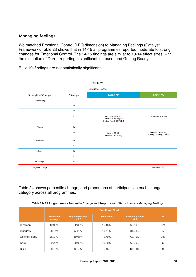## Managing feelings

We matched Emotional Control (LEQ dimension) to Managing Feelings (Catalyst Framework). Table 23 shows that in 14-15 all programmes reported moderate to strong changes for Emotional Control. The 14-15 findings are similar to 13-14 effect sizes, with the exception of Dare - reporting a significant increase, and Getting Ready.

Build-it's findings are not statistically significant.

| Table 23           |          |                                                                       |                                               |  |  |
|--------------------|----------|-----------------------------------------------------------------------|-----------------------------------------------|--|--|
|                    |          | <b>Emotional Control</b>                                              |                                               |  |  |
| Strength of Change | ES range | 2014-2015                                                             | 2013-2014                                     |  |  |
| Very strong        | 1        |                                                                       |                                               |  |  |
|                    | 0.9      |                                                                       |                                               |  |  |
|                    | 0.8      |                                                                       |                                               |  |  |
|                    | 0.7      | Woodrow (0.78 ES)<br>Build-it (0.78 ES) ns<br>Getting Ready (0.75 ES) | Woodrow (0.7 ES)                              |  |  |
| Strong             | 0.6      |                                                                       |                                               |  |  |
|                    | 0.5      | Dare (0.59 ES)<br>Hindleap (0.52 ES)                                  | Hindleap (0.54 ES)<br>Getting Ready (0.43 ES) |  |  |
| Moderate           | 0.4      |                                                                       |                                               |  |  |
|                    | 0.3      |                                                                       |                                               |  |  |
| Small              | 0.2      |                                                                       |                                               |  |  |
|                    | 0.1      |                                                                       |                                               |  |  |
| No change          | 0        |                                                                       |                                               |  |  |
| Negative change    |          |                                                                       | Dare (-0.3 ES)                                |  |  |

Table 24 shows percentile change, and proportions of participants in each change category across all programmes.

| Table 24: All Programmes - Percentile Change and Proportions of Participants - Managing Feelings |  |  |
|--------------------------------------------------------------------------------------------------|--|--|
|                                                                                                  |  |  |

|               |                             | <b>Emotional Control</b>        |           |                                 |     |  |  |
|---------------|-----------------------------|---------------------------------|-----------|---------------------------------|-----|--|--|
|               | <b>Percentile</b><br>change | <b>Negative change</b><br>< 0.2 | No change | <b>Positive change</b><br>> 0.2 | N   |  |  |
| Hindleap      | 19.96%                      | 22.32%                          | 15.18%    | 62.50%                          | 224 |  |  |
| Woodrow       | 28.15%                      | 5.41%                           | 13.51%    | 81.08%                          | 37  |  |  |
| Getting Ready | 27.2%                       | 19.06%                          | 12.79%    | 68.15%                          | 383 |  |  |
| Dare          | 22.29%                      | 20.00%                          | 20.00%    | 60.00%                          | 5   |  |  |
| Build-it      | 28.13%                      | $0.00\%$                        | 0.00%     | 100.00%                         | 9   |  |  |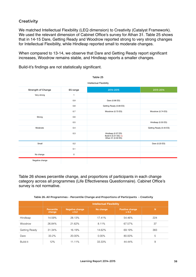## **Creativity**

We matched Intellectual Flexibility (LEQ dimension) to Creativity (Catalyst Framework). We used the relevant dimension of Cabinet Office's survey for Athan 31. Table 25 shows that in 14-15 Dare, Getting Ready and Woodrow reported strong to very strong changes for Intellectual Flexibility, while Hindleap reported small to moderate changes.

When compared to 13-14, we observe that Dare and Getting Ready report significant increases, Woodrow remains stable, and Hindleap reports a smaller changes.

Build-it's findings are not statistically significant.

| <b>Intellectual Flexibility</b> |           |                                                                   |                         |  |  |  |
|---------------------------------|-----------|-------------------------------------------------------------------|-------------------------|--|--|--|
| <b>Strength of Change</b>       | ES range  | 2014-2015                                                         | 2013-2014               |  |  |  |
| Very strong                     | 1         |                                                                   |                         |  |  |  |
|                                 | 0.9       | Dare (0.96 ES)                                                    |                         |  |  |  |
|                                 | 0.8       | Getting Ready (0.89 ES)                                           |                         |  |  |  |
|                                 | 0.7       | Woodrow (0.73 ES)                                                 | Woodrow (0.74 ES)       |  |  |  |
| Strong                          | 0.6       |                                                                   |                         |  |  |  |
|                                 | 0.5       |                                                                   | Hindleap (0.55 ES)      |  |  |  |
| Moderate                        | 0.4       |                                                                   | Getting Ready (0.43 ES) |  |  |  |
|                                 | 0.3       | Hindleap (0.37 ES)<br>Build-it (0.31 ES) ns<br>Athan 31 (0.30 ES) |                         |  |  |  |
| Small                           | 0.2       |                                                                   | Dare (0.23 ES)          |  |  |  |
|                                 | 0.1       |                                                                   |                         |  |  |  |
| No change                       | $\pmb{0}$ |                                                                   |                         |  |  |  |
| Negative change                 |           |                                                                   |                         |  |  |  |

Table 25

Table 26 shows percentile change, and proportions of participants in each change category across all programmes (Life Effectiveness Questionnaire). Cabinet Office's survey is not normative.

| Table 26: All Programmes - Percentile Change and Proportions of Participants - Creativity |  |
|-------------------------------------------------------------------------------------------|--|
|                                                                                           |  |

|               | <b>Intellectual Flexibility</b> |                          |           |                                 |     |
|---------------|---------------------------------|--------------------------|-----------|---------------------------------|-----|
|               | <b>Percentile</b><br>change     | Negative change<br>< 0.2 | No change | <b>Positive change</b><br>> 0.2 | N   |
| Hindleap      | 14.59%                          | 28.13%                   | 17.41%    | 54.46%                          | 224 |
| Woodrow       | 26.84%                          | 21.62%                   | 8.11%     | 67.57%                          | 37  |
| Getting Ready | 31.34%                          | 16.19%                   | 14.62%    | 69.19%                          | 383 |
| Dare          | 33.2%                           | 20.00%                   | $0.00\%$  | 80.00%                          | 5   |
| Build-it      | 12%                             | 11.11%                   | 33.33%    | 44.44%                          | 9   |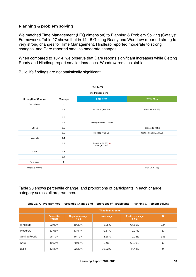#### Planning & problem solving

We matched Time Management (LEQ dimension) to Planning & Problem Solving (Catalyst Framework). Table 27 shows that in 14-15 Getting Ready and Woodrow reported strong to very strong changes for Time Management, Hindleap reported moderate to strong changes, and Dare reported small to moderate changes.

When compared to 13-14, we observe that Dare reports significant increases while Getting Ready and Hindleap report smaller increases. Woodrow remains stable.

| Table 27           |              |                                         |                         |  |  |  |
|--------------------|--------------|-----------------------------------------|-------------------------|--|--|--|
| Time Management    |              |                                         |                         |  |  |  |
| Strength of Change | ES range     | 2014-2015                               | 2013-2014               |  |  |  |
| Very strong        | $\mathbf{1}$ |                                         |                         |  |  |  |
|                    | 0.9          | Woodrow (0.98 ES)                       | Woodrow (0.9 ES)        |  |  |  |
|                    | 0.8          |                                         |                         |  |  |  |
|                    | 0.7          | Getting Ready (0.71 ES)                 |                         |  |  |  |
| Strong             | 0.6          |                                         | Hindleap (0.62 ES)      |  |  |  |
|                    | 0.5          | Hindleap (0.58 ES)                      | Getting Ready (0.51 ES) |  |  |  |
| Moderate           | 0.4          |                                         |                         |  |  |  |
|                    | 0.3          | Build-it (0.36 ES) ns<br>Dare (0.32 ES) |                         |  |  |  |
| Small              | 0.2          |                                         |                         |  |  |  |
|                    | 0.1          |                                         |                         |  |  |  |
| No change          | 0            |                                         |                         |  |  |  |
| Negative change    |              |                                         | Dare (-0.47 ES)         |  |  |  |

Build-it's findings are not statistically significant.

Table 28 shows percentile change, and proportions of participants in each change category across all programmes.

Table 28: All Programmes - Percentile Change and Proportions of Participants - Planning & Problem Solving

|               | <b>Time Management</b>      |                                 |           |                                 |     |
|---------------|-----------------------------|---------------------------------|-----------|---------------------------------|-----|
|               | <b>Percentile</b><br>change | <b>Negative change</b><br>< 0.2 | No change | <b>Positive change</b><br>> 0.2 | N   |
| Hindleap      | 22.02%                      | 19.20%                          | 12.95%    | 67.86%                          | 224 |
| Woodrow       | 33.65%                      | 13.51%                          | 10.81%    | 72.97%                          | 37  |
| Getting Ready | 26.12%                      | 16.19%                          | 13.58%    | 70.23%                          | 383 |
| Dare          | 12.55%                      | 40.00%                          | $0.00\%$  | 60.00%                          | 5   |
| Build-it      | 13.89%                      | 22.22%                          | 22.22%    | 44.44%                          | 9   |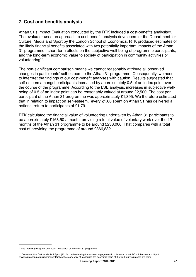# **7. Cost and benefits analysis**

<span id="page-39-2"></span>Athan 31's Impact Evaluation conducted by the RTK included a cost-benefits analysis<sup>[15](#page-39-0)</sup>. The evaluator used an approach to cost-benefit analysis developed for the Department for Culture, Media and Sport by the London School of Economics. RTK produced estimates of the likely financial benefits associated with two potentially important impacts of the Athan 31 programme: short-term effects on the subjective well-being of programme participants, and the long-term economic value to society of participation in community activities or volunteering<sup>[16](#page-39-1)</sup>.

<span id="page-39-3"></span>The non-significant comparison means we cannot reasonably attribute all observed changes in participants' self-esteem to the Athan 31 programme. Consequently, we need to interpret the findings of our cost-benefit analyses with caution. Results suggested that self-esteem amongst participants increased by approximately 0.5 of an index point over the course of the programme. According to the LSE analysis, increases in subjective wellbeing of 0.5 of an index point can be reasonably valued at around £2,500. The cost per participant of the Athan 31 programme was approximately £1,395. We therefore estimated that in relation to impact on self-esteem, every £1.00 spent on Athan 31 has delivered a notional return to participants of £1.79.

RTK calculated the financial value of volunteering undertaken by Athan 31 participants to be approximately £168.50 a month, providing a total value of voluntary work over the 12 months of the Athan 31 programme to be around £238,000. That compares with a total cost of providing the programme of around £366,882.

<span id="page-39-0"></span><sup>&</sup>lt;sup>[15](#page-39-2)</sup> See theRTK (2015), London Youth: Evaluation of the Athan 31 programme

<span id="page-39-1"></span><sup>16</sup> [Department for Culture Media & Sport \(2010\). Understanding the value of engagement in culture and sport. DCMS: London and http://](http://www.volunteering.org.uk/component/gpb/is-there-any-way-of-measuring-the-economic-value-of-the-work-our-volunteers-are-doing) www.volunteering.org.uk/component/gpb/is-there-any-way-of-measuring-the-economic-value-of-the-work-our-volunteers-are-doing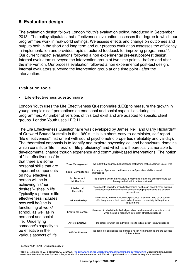# **8. Evaluation design**

<span id="page-40-2"></span>The evaluation design follows London Youth's evaluation policy, introduced in September 2013. The policy stipulates that effectiveness evaluation assesses the degree to which our programmes work in real-world settings. We assess effects and change on outcomes and outputs both in the short and long term and our process evaluation assesses the efficiency in implementation and provides rapid structured feedback for improving programmes<sup>[17](#page-40-0)</sup>. Our current impact evaluations followed a non experimental pre-test/post-test design. Internal evaluators surveyed the intervention group at two time points - before and after the intervention. Our process evaluation followed a non experimental post-test design. Internal evaluators surveyed the intervention group at one time point - after the intervention.

#### Evaluation tools

#### ‣ Life effectiveness questionnaire

London Youth uses the Life Effectiveness Questionnaire (LEQ) to measure the growth in young people's self-perceptions on emotional and social capabilities during its programmes. A number of versions of this tool exist and are adapted to specific client groups. London Youth uses LEQ-H.

The Life Effectiveness Questionnaire was developed by James Neill and Garry Richards<sup>18</sup> of Outward Bound Australia in the 1980's. It is is a short, easy-to-administer, self-report "life effectiveness" instrument with sound psychometric properties (reliability and validity). The theoretical emphasis is to identify and explore psychological and behavioural domains which constitute "life fitness" or "life proficiency" and which are theoretically amenable to developmental change though experience and community-based interventions. The notion of "life effectiveness" is

that there are some personal skills that are important components on how effective a person will be in achieving his/her desires/wishes in life. Typically a person's life effectiveness includes how well he/she is functioning at work/ school, as well as in personal and social life. Underlying someone's capacity to be effective in the various aspects of life

<span id="page-40-3"></span>

| <b>Time Management</b>      | the extent that an individual perceives that he/she makes optimum use of time                                                                                            |
|-----------------------------|--------------------------------------------------------------------------------------------------------------------------------------------------------------------------|
| Social Competence           | the degree of personal confidence and self-perceived ability in social<br>interactions                                                                                   |
| Achievement<br>Motivation   | the extent to which the individual is motivated to achieve excellence and put<br>the required effort into action to attain it                                            |
| Intellectual<br>Flexibility | the extent to which the individual perceives he/she can adapt his/her thinking<br>and accommodate new information from changing conditions and different<br>perspectives |
| <b>Task Leadership</b>      | the extent to which the individual perceives he/she can lead other people<br>effectively when a task needs to be done and productivity is the primary<br>requirement     |
| <b>Emotional Control</b>    | the extent to which the individual perceives he/she maintains emotional control<br>when he/she is faced with potentially stressful situations                            |
| <b>Active Initiative</b>    | the extent to which the individual likes to initiate action in new situations                                                                                            |
| Self Confidence             | the degree of confidence the individual has in his/her abilities and the success<br>of their actions                                                                     |

<span id="page-40-0"></span><sup>&</sup>lt;sup>[17](#page-40-2)</sup> London Youth (2013). Evaluation policy, p1

<span id="page-40-1"></span><sup>&</sup>lt;sup>[18](#page-40-3)</sup> Neill, J. T., Marsh, H. W., & Richards, G. E. (2003). *The Life Effectiveness Questionnaire: Development and psychometrics*. Unpublished manuscript, University of Western Sydney, Sydney, NSW, Australia. For more references on LEQ visit:<http://wilderdom.com/tools/leq/leqreferences.html>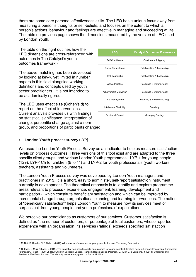there are some core personal effectiveness skills. The LEQ has a unique focus away from measuring a person's thoughts or self-beliefs, and focuses on the extent to which a person's actions, behaviour and feelings are effective in managing and succeeding at life. The table on previous page shows the dimensions measured by the version of LEQ used by London Youth.

The table on the right outlines how the LEQ dimensions are cross-referenced with outcomes in The Catalyst's youth outcomes framewor[k](#page-41-0)<sup>19</sup>.

<span id="page-41-3"></span><span id="page-41-2"></span>The above matching has been developed by looking at key<sup>[20](#page-41-1)</sup>, yet limited in number, papers in this field alongside working definitions and concepts used by youth sector practitioners. It is not intended to be academically rigorous.

The LEQ uses effect size (Cohen's d) to report on the effect of interventions. Current analysis provides us with findings on statistical significance, interpretation of change, percentile change against a norm group, and proportions of participants changed.

| <b>LEQ</b>                    | <b>Catalyst Outcomes Framework</b>    |  |
|-------------------------------|---------------------------------------|--|
| Self Confidence               | Confidence & Agency                   |  |
| Social Competence             | Relationships & Leadership            |  |
| <b>Task Leadership</b>        | Relationships & Leadership            |  |
| Active Initiative             | <b>Resilience &amp; Determination</b> |  |
| <b>Achievement Motivation</b> | <b>Resilience &amp; Determination</b> |  |
| <b>Time Management</b>        | Planning & Problem Solving            |  |
| Intellectual Flexibility      | Creativity                            |  |
| <b>Emotional Control</b>      | <b>Managing Feelings</b>              |  |

‣ London Youth process survey (LYP)

We used the London Youth Process Survey as an indicator to help us measure satisfaction levels on process outcomes. Three versions of this tool exist and are adapted to the three specific client groups, and various London Youth programmes - LYP-1 for young people (12+), LYP-1Ch for children (5 to 11) and LYP-2 for youth professionals (youth workers, teachers, assistants and volunteers).

The London Youth Process survey was developed by London Youth managers and practitioners in 2013. It is a short, easy to administer, self-report satisfaction instrument currently in development. The theoretical emphasis is to identify and explore programme areas relevant to process - experience, engagement, learning, development and participation - which constitute beneficiary satisfaction and which can be improved by incremental change through organisational planning and learning interventions. The notion of "beneficiary satisfaction" helps London Youth to measure how its services meet or surpass children, young people and youth professionals' expectations.

We perceive our beneficiaries as customers of our services. Customer satisfaction is defined as "the number of customers, or percentage of total customers, whose reported experience with an organisation, its services (ratings) exceeds specified satisfaction

<span id="page-41-0"></span>[<sup>19</sup>](#page-41-2) McNeil, B. Reeder, N. & Rich, J. (2012). A framework of outcomes for young people. London: The Young Foundation

<span id="page-41-1"></span><sup>&</sup>lt;sup>[20](#page-41-3)</sup> Gutman, L. M. & Schoon, I. (2013). The impact of non-cognitive skills on outcomes for young people: Literature Review. London: Educational Endowment Foundation, Tough, P. (2012). How Children Succeed. London: Random House Books, Paterson, C. Tyler, C. & Lexmond, J. (2014). Character and Resilience Manifesto: London: The all-party parliamentary group on Social Mobility.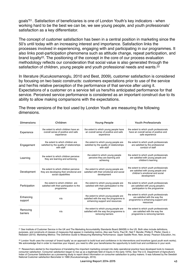<span id="page-42-3"></span>goals"<sup>[21](#page-42-0)</sup>. Satisfaction of beneficiaries is one of London Youth's key indicators - when working hard to be the best we can be, we see young people, and youth professionals' satisfaction as a key differentiator.

The concept of customer satisfaction has been in a central position in marketing since the 50's until today with an increasing interest and importance. Satisfaction links the processes involved in experiencing, engaging with and participating in our programmes. It also links post-participation phenomena such as attitude change, repeat participation, and brand loyalty<sup>22</sup>[.](#page-42-1) The positioning of the concept in the core of our process evaluation methodology reflects our consideration that social value is also generated through the satisfaction of children, young people and youth professional needs and wants.<sup>[23](#page-42-2)</sup>

<span id="page-42-5"></span><span id="page-42-4"></span>In literature (Kucukosmanoglu, 2010 and Best, 2009), customer satisfaction is considered by focusing on two basic constructs: customers expectations prior to use of the service and her/his relative perception of the performance of that service after using it. Expectations of a customer on a service tell us hers/his anticipated performance for that service. Perceived service performance is considered as an important construct due to its ability to allow making comparisons with the expectations.

| <b>Dimensions</b>    | Children                                                                                                | <b>Young People</b>                                                                                                | <b>Youth Professionals</b>                                                                                                       |
|----------------------|---------------------------------------------------------------------------------------------------------|--------------------------------------------------------------------------------------------------------------------|----------------------------------------------------------------------------------------------------------------------------------|
| Experience           | the extent to which children have an<br>overall sense of positive and safe<br>experience                | the extent to which young people have<br>an overall sense of positive and safe<br>experience                       | the extent to which youth professionals<br>have an overall sense of positive and<br>safe experience                              |
| Engagement           | the extent to which children are<br>satisfied by the quality of relationships<br>with staff             | the extent to which young people are<br>satisfied by the quality of relationships<br>with staff                    | the extent to which youth professionals<br>are satisfied by the professional<br>conduct of staff                                 |
| Learning             | the extent to which children perceive<br>they are learning and achieving                                | the extent to which young people<br>perceive they are learning and<br>achieving                                    | the extent to which youth professionals<br>are satisfied with young people and<br>children's learning                            |
| Development          | the extent to which children perceive<br>they are developing their emotional and<br>social capabilities | the extent to which young people are<br>satisfied with their emotional and social<br>development                   | the extent to which youth professionals<br>are satisfied with young people and<br>children's emotional and social<br>development |
| Participation        | the extent to which children are<br>satisfied with their participation to the<br>programme              | the extent to which young people are<br>satisfied with their participation to the<br>programme                     | the extent to which youth professionals<br>are satisfied with young people's<br>participation to the programme                   |
| Enhancing<br>support | n/a                                                                                                     | the extent to which young people are<br>satisfied with the way the programme is<br>enhancing support and resources | the extent to which youth professionals<br>are satisfied with the way the<br>programme is enhancing support and<br>resources     |
| Removing<br>barriers | n/a                                                                                                     | the extent to which young people are<br>satisfied with the way the programme is<br>removing barriers               | the extent to which youth professionals<br>are satisfied with the way the<br>programme is removing barriers                      |

The three versions of the tool used by London Youth are measuring the following dimensions.

<span id="page-42-0"></span><sup>&</sup>lt;sup>[21](#page-42-3)</sup> See Institute of Customer Service in the UK and The Marketing Accountability Standards Board (MASB) in the US. Both sites include definitions, purposes, and constructs of classes of measures that appear in marketing metrics. Also see Farris, Paul W.; Neil T. Bendle; Phillip E. Pfeifer; David J. Reibstein (2010). Marketing Metrics: The Definitive Guide to Measuring Marketing Performance. Upper Saddle River, New Jersey: Pearson Education, Inc.

<span id="page-42-1"></span><sup>&</sup>lt;sup>[22](#page-42-4)</sup> London Youth uses the concept of 'brand loyalty' as an approach to build trust and confidence in its interventions and knowhow (good youth work works). We acknowledge that in order to maximise your impact, you need to offer your beneficiaries the opportunity to build trust and confidence in your work.

<span id="page-42-2"></span>[<sup>23</sup>](#page-42-5) Researchers alerted to the importance of translating this important marketing concept into daily operational practice have developed tools to measure consumer satisfaction. Consumer satisfaction began to rise up as a legitimate field of inquiry in the early 1970s. See The U.S. Department of Agriculture's Index of Consumer Satisfaction as a pioneering study to report direct information on consumer satisfaction to policy makers. It was followed by the Swedish National Customer satisfaction Barometer in 1989 (Kucukosmanoglu, 2010).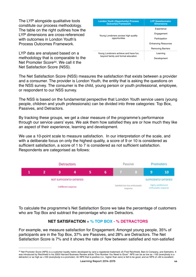The LYP alongside qualitative tools constitute our process methodology. The table on the right outlines how the LYP dimensions are cross-referenced with outcomes in London Youth's Process Outcomes Framework.

<span id="page-43-1"></span>LYP data are analysed based on a methodology that is comparable to the Net Promoter Score<sup>24</sup>[.](#page-43-0) We call it the Net Satisfaction Score (NSS).

| <b>London Youth (Opportunity) Process</b><br><b>Outcomes Framework</b> | <b>LYP Questionnaire</b><br><b>Dimensions</b> |  |
|------------------------------------------------------------------------|-----------------------------------------------|--|
|                                                                        | Experience                                    |  |
| Young Londoners access high quality                                    | Engagement                                    |  |
| opportunities                                                          | Participation                                 |  |
|                                                                        | <b>Enhancing Resources</b>                    |  |
|                                                                        | <b>Removing Barriers</b>                      |  |
| Young Londoners achieve and have fun,                                  | Learning                                      |  |
| beyond family and formal education                                     | Development                                   |  |
|                                                                        |                                               |  |

The Net Satisfaction Score (NSS) measures the satisfaction that exists between a provider and a consumer. The provider is London Youth, the entity that is asking the questions on the NSS survey. The consumer is the child, young person or youth professional, employee, or respondent to our NSS survey.

The NSS is based on the fundamental perspective that London Youth service users (young people, children and youth professionals) can be divided into three categories: Top Box, Passives, and Detractors.

By tracking these groups, we get a clear measure of the programme's performance through our service users' eyes. We ask them how satisfied they are or how much they like an aspect of their experience, learning and development.

We use a 10-point scale to measure satisfaction. In our interpretation of the scale, and with a deliberate focus on only the highest quality, a score of 9 or 10 is considered as sufficient satisfaction, a score of 1 to 7 is considered as not sufficient satisfaction. Respondents are categorised as follows:



To calculate the programme's Net Satisfaction Score we take the percentage of customers who are Top Box and subtract the percentage who are Detractors.

# **NET SATISFACTION** = **% TOP BOX** - **% DETRACTORS**

For example, we measure satisfaction for Engagement. Amongst young people, 35% of participants are in the Top Box, 37% are Passives, and 28% are Detractors. The Net Satisfaction Score is 7% and it shows the rate of flow between satisfied and non-satisfied

<span id="page-43-0"></span><sup>&</sup>lt;sup>[24](#page-43-1)</sup> Net Promoter Score (NPS) is a customer loyalty metric developed by (and a registered trademark of) Fred Reichheld, Bain & Company, and Satmetrix. It was introduced by Reichheld in his 2003 Harvard Business Review article "One Number You Need to Grow". NPS can be as low as −100 (everybody is a detractor) or as high as +100 (everybody is a promoter). An NPS that is positive (i.e., higher than zero) is felt to be good, and an NPS of +50 is excellent.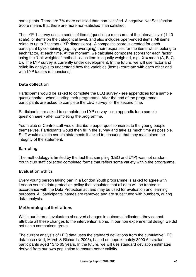participants. There are 7% more satisfied than non-satisfied. A negative Net Satisfaction Score means that there are more non-satisfied than satisfied.

The LYP-1 survey uses a series of items (questions) measured at the interval level (1-10 scale), or items on the categorical level, and also includes open-ended items. All items relate to up to 7 factors (LYP dimensions). A composite score is created for each participant by combining (e.g., by averaging) their responses for the items which belong to each factor, at each time. At the moment, we calculate composite scores for each factor using the 'Unit weighted' method - each item is equally weighted, e.g.,  $X =$  mean (A, B, C, D). The LYP survey is currently under development. In the future, we will use factor and reliability analysis to understand how the variables (items) correlate with each other and with LYP factors (dimensions).

## Data collection

Participants would be asked to complete the LEQ survey - see appendices for a sample questionnaire - when starting their programme. After the end of the programme, participants are asked to complete the LEQ survey for the second time.

Participants are asked to complete the LYP survey - see appendix for a sample questionnaire - after completing the programme.

. Youth club or Centre staff would distribute paper questionnaires to the young people themselves. Participants would then fill in the survey and take as much time as possible. Staff would explain certain statements if asked to, ensuring that they maintained the integrity of the statement.

## Sampling

The methodology is limited by the fact that sampling (LEQ and LYP) was not random. Youth club staff collected completed forms that reflect some variety within the programme.

## Evaluation ethics

Every young person taking part in a London Youth programme is asked to agree with London youth's data protection policy that stipulates that all data will be treated in accordance with the Data Protection act and may be used for evaluation and learning purposes. All participants' names are removed and are substituted with numbers, during data analysis.

## Methodological limitations

While our internal evaluators observed changes in outcome indicators, they cannot attribute all these changes to the intervention alone. In our non experimental design we did not use a comparison group.

The current analysis of LEQ data uses the standard deviations from the cumulative LEQ database (Neill, Marsh & Richards, 2003), based on approximately 3000 Australian participants aged 13 to 65 years. In the future, we will use standard deviation estimates derived from our own population to ensure better validity.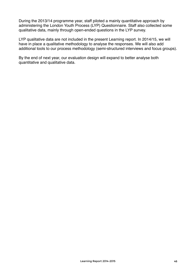During the 2013/14 programme year, staff piloted a mainly quantitative approach by administering the London Youth Process (LYP) Questionnaire. Staff also collected some qualitative data, mainly through open-ended questions in the LYP survey.

LYP qualitative data are not included in the present Learning report. In 2014/15, we will have in place a qualitative methodology to analyse the responses. We will also add additional tools to our process methodology (semi-structured interviews and focus groups).

By the end of next year, our evaluation design will expand to better analyse both quantitative and qualitative data.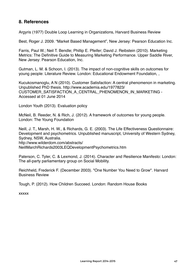# **8. References**

Argyris (1977) Double Loop Learning in Organizations, Harvard Business Review

Best, Roger J. 2009. "Market Based Management", New Jersey: Pearson Education Inc.

Farris, Paul W.; Neil T. Bendle; Phillip E. Pfeifer; David J. Reibstein (2010). Marketing Metrics: The Definitive Guide to Measuring Marketing Performance. Upper Saddle River, New Jersey: Pearson Education, Inc.

Gutman, L. M. & Schoon, I. (2013). The impact of non-cognitive skills on outcomes for young people: Literature Review. London: Educational Endowment Foundation, ,

Kucukosmanoglu, A N (2010). Customer Satisfaction: A central phenomenon in marketing. Unpublished PhD thesis. http://www.academia.edu/1977823/ CUSTOMER\_SATISFACTION\_A\_CENTRAL\_PHENOMENON\_IN\_MARKETING - Accessed at 01 June 2014

London Youth (2013). Evaluation policy

McNeil, B. Reeder, N. & Rich, J. (2012). A framework of outcomes for young people. London: The Young Foundation

Neill, J. T., Marsh, H. W., & Richards, G. E. (2003). The Life Effectiveness Questionnaire: Development and psychometrics. Unpublished manuscript, University of Western Sydney, Sydney, NSW, Australia. http://www.wilderdom.com/abstracts/ NeillMarchRichards2003LEQDevelopmentPsychometrics.htm

Paterson, C. Tyler, C. & Lexmond, J. (2014). Character and Resilience Manifesto: London: The all-party parliamentary group on Social Mobility.

Reichheld, Frederick F. (December 2003). "One Number You Need to Grow". Harvard Business Review

Tough, P. (2012). How Children Succeed. London: Random House Books

xxxxx